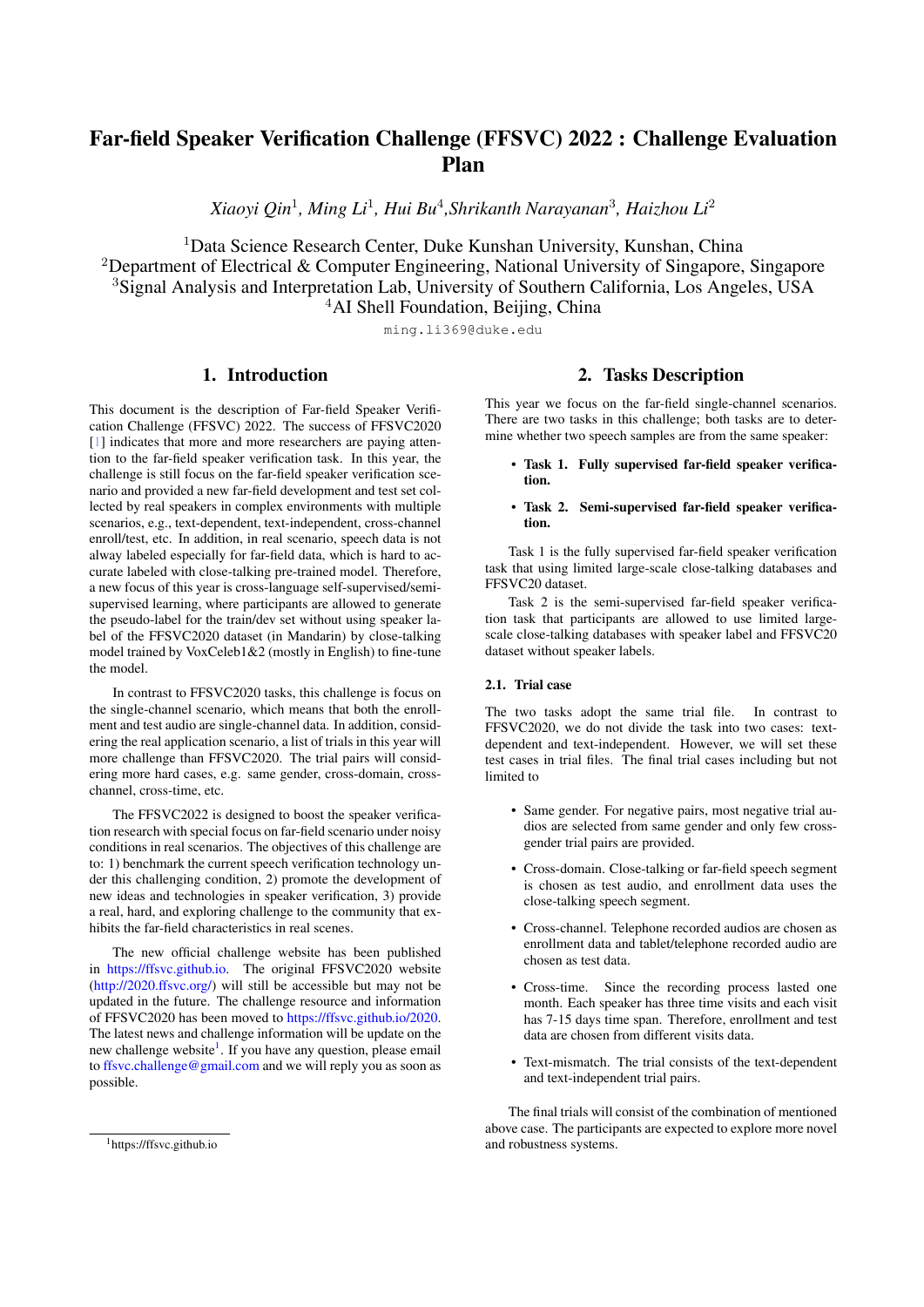# Far-field Speaker Verification Challenge (FFSVC) 2022 : Challenge Evaluation Plan

*Xiaoyi Qin*<sup>1</sup>*, Ming Li* <sup>1</sup>*, Hui Bu*<sup>4</sup>*,Shrikanth Narayanan*<sup>3</sup>*, Haizhou Li* 2

<sup>1</sup>Data Science Research Center, Duke Kunshan University, Kunshan, China <sup>2</sup>Department of Electrical & Computer Engineering, National University of Singapore, Singapore <sup>3</sup>Signal Analysis and Interpretation Lab, University of Southern California, Los Angeles, USA <sup>4</sup>AI Shell Foundation, Beijing, China

ming.li369@duke.edu

# 1. Introduction

This document is the description of Far-field Speaker Verification Challenge (FFSVC) 2022. The success of FFSVC2020 [[1\]](#page-2-0) indicates that more and more researchers are paying attention to the far-field speaker verification task. In this year, the challenge is still focus on the far-field speaker verification scenario and provided a new far-field development and test set collected by real speakers in complex environments with multiple scenarios, e.g., text-dependent, text-independent, cross-channel enroll/test, etc. In addition, in real scenario, speech data is not alway labeled especially for far-field data, which is hard to accurate labeled with close-talking pre-trained model. Therefore, a new focus of this year is cross-language self-supervised/semisupervised learning, where participants are allowed to generate the pseudo-label for the train/dev set without using speaker label of the FFSVC2020 dataset (in Mandarin) by close-talking model trained by VoxCeleb1&2 (mostly in English) to fine-tune the model.

In contrast to FFSVC2020 tasks, this challenge is focus on the single-channel scenario, which means that both the enrollment and test audio are single-channel data. In addition, considering the real application scenario, a list of trials in this year will more challenge than FFSVC2020. The trial pairs will considering more hard cases, e.g. same gender, cross-domain, crosschannel, cross-time, etc.

The FFSVC2022 is designed to boost the speaker verification research with special focus on far-field scenario under noisy conditions in real scenarios. The objectives of this challenge are to: 1) benchmark the current speech verification technology under this challenging condition, 2) promote the development of new ideas and technologies in speaker verification, 3) provide a real, hard, and exploring challenge to the community that exhibits the far-field characteristics in real scenes.

The new official challenge website has been published in ht[tps://ffsvc.github.io.](https://ffsvc.github.io) The original FFSVC2020 website ([http://2020.ffsvc.org/\)](http://2020.ffsvc.org/) will still be accessible but may not be updated in the future. The challenge resource and information of FFSVC2020 has been moved to https://ffsvc.github.io/2020. The latest news and challenge information will be update on the new challenge website<sup>1</sup>. If you have any qu[es](#page-0-0)tion, please email to ff[svc.challenge@gmail.com](ffsvc.challenge@gmail.com) and we will reply you as soon as possible.

This year we focus on the far-field single-channel scenarios. There are two tasks in this challenge; both tasks are to determine whether two speech samples are from the same speaker:

- Task 1. Fully supervised far-field speaker verification.
- Task 2. Semi-supervised far-field speaker verification.

Task 1 is the fully supervised far-field speaker verification task that using limited large-scale close-talking databases and FFSVC20 dataset.

Task 2 is the semi-supervised far-field speaker verification task that participants are allowed to use limited largescale close-talking databases with speaker label and FFSVC20 dataset without speaker labels.

# 2.1. Trial case

The two tasks adopt the same trial file. In contrast to FFSVC2020, we do not divide the task into two cases: textdependent and text-independent. However, we will set these test cases in trial files. The final trial cases including but not limited to

- Same gender. For negative pairs, most negative trial audios are selected from same gender and only few crossgender trial pairs are provided.
- Cross-domain. Close-talking or far-field speech segment is chosen as test audio, and enrollment data uses the close-talking speech segment.
- Cross-channel. Telephone recorded audios are chosen as enrollment data and tablet/telephone recorded audio are chosen as test data.
- Cross-time. Since the recording process lasted one month. Each speaker has three time visits and each visit has 7-15 days time span. [Therefore,](https://ffsvc.github.io/2020/) enrollment and test data are chosen from different visits data.
- Text-mismatch. The trial consists of the text-dependent and text-independent trial pairs.

The final trials will consist of the combination of mentioned above case. The participants are expected to explore more novel and robustness systems.

<sup>2.</sup> Tasks Description

<span id="page-0-0"></span><sup>1</sup>https://ffsvc.github.io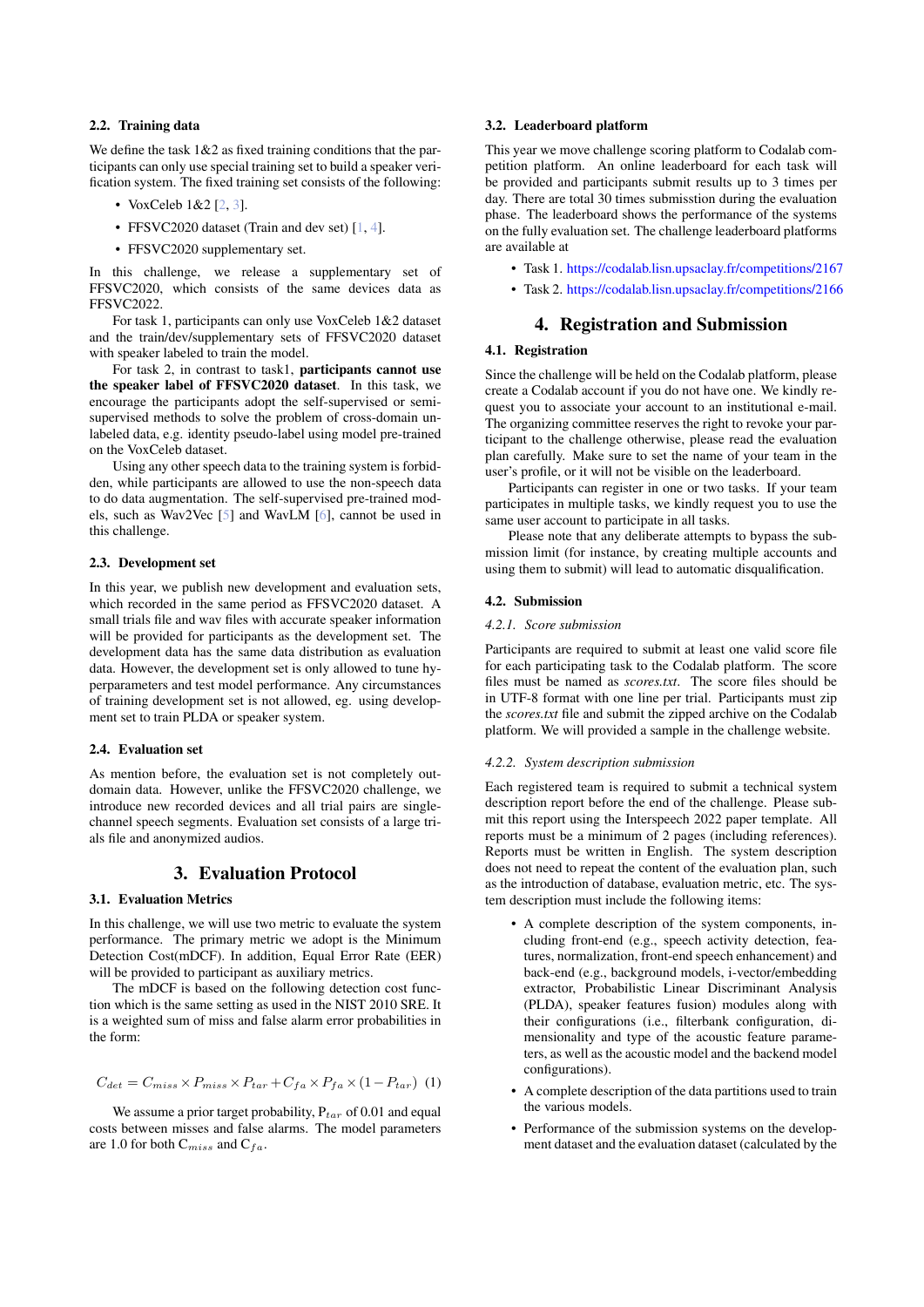# 2.2. Training data

We define the task  $1\&2$  as fixed training conditions that the participants can only use special training set to build a speaker verification system. The fixed training set consists of the following:

- VoxCeleb 1&2 [2, 3].
- FFSVC2020 dataset (Train and dev set) [1, 4].
- FFSVC2020 supplementary set.

In this challenge, we release a supplementary set of FFSVC2020, which consists of the same devices data as FFSVC2022.

For task 1, participants can only use VoxCeleb 1&2 dataset and the train/dev/supplementary sets of FFSVC2020 dataset with speaker labeled to train the model.

For task 2, in contrast to task1, participants cannot use the speaker label of FFSVC2020 dataset. In this task, we encourage the participants adopt the self-supervised or semisupervised methods to solve the problem of cross-domain unlabeled data, e.g. identity pseudo-label using model pre-trained on the VoxCeleb dataset.

Using any other speech data to the training system is forbidden, while participants are allowed to use the non-speech data to do data augmentation. The self-supervised pre-trained models, such as Wav2Vec [5] and WavLM [6], [ca](#page-2-2)nnot be used in this challenge.

#### 2.3. Development set

In this year, we publish new development and evaluation sets, which recorded in the same period as FFSVC2020 dataset. A small trials file and wav files with accurate speaker information will be provided for participants as the development set. The development data has the same data distribution as evaluation data. However, the development set is only allowed to tune hyperparameters and test model performance. Any circumstances of training development set is not allowed, eg. using development set to train PLDA or speaker system.

#### 2.4. Evaluation set

As mention before, the evaluation set is not completely outdomain data. However, unlike the FFSVC2020 challenge, we introduce new recorded devices and all trial pairs are singlechannel speech segments. Evaluation set consists of a large trials file and anonymized audios.

# 3. Evaluation Protocol

### 3.1. Evaluation Metrics

In this challenge, we will use two metric to evaluate the system performance. The primary metric we adopt is the Minimum Detection Cost(mDCF). In addition, Equal Error Rate (EER) will be provided to participant as auxiliary metrics.

The mDCF is based on the following detection cost function which is the same setting as used in the NIST 2010 SRE. It is a weighted sum of miss and false alarm error probabilities in the form:

$$
C_{det} = C_{miss} \times P_{miss} \times P_{tar} + C_{fa} \times P_{fa} \times (1 - P_{tar}) \tag{1}
$$

We assume a prior target probability, P*tar* of 0.01 and equal costs between misses and false alarms. The model parameters are 1.0 for both C*miss* and C*fa*.

### 3.2. Leaderboard platform

This year we move challenge scoring platform to Codalab competition platform. An online leaderboard for each task will be provided and participants submit results up to 3 times per day. There are total 30 times submisstion during the evaluation phase. The leaderboard shows the performance of the systems on the fully ev[alu](#page-2-0)[atio](#page-2-1)n set. The challenge leaderboard platforms are available at

- Task 1. https:/[/codalab.lisn.upsaclay.fr/competitions/2167](https://codalab.lisn.upsaclay.fr/competitions/2167)
- Task 2. https:/[/codalab.lisn.upsaclay.fr/competitions/2166](https://codalab.lisn.upsaclay.fr/competitions/2166)

# 4. Registration and Submission

### 4.1. Registration

Since the challenge will be held on the Codalab platform, please create a Codalab account if you do not have one. We kindly request you to associate your account to an institutional e-mail. The organizing committee reserves the right to revoke your participant to the challenge otherwise, please read the evaluation plan carefully. Make sure to set the name of your team in the user's profile, or it will not be visible on the leaderboard.

Participants can register in one or two tasks. If your team participates in multiple tasks, we kindly request you to use the same [us](#page-2-3)er account to participate in all tasks.

Please note that any deliberate attempts to bypass the submission limit (for instance, by creating multiple accounts and using them to submit) will lead to automatic disqualification.

### 4.2. Submission

#### *4.2.1. Score submission*

Participants are required to submit at least one valid score file for each participating task to the Codalab platform. The score files must be named as *scores.txt*. The score files should be in UTF-8 format with one line per trial. Participants must zip the *scores.txt* file and submit the zipped archive on the Codalab platform. We will provided a sample in the challenge website.

#### *4.2.2. System description submission*

Each registered team is required to submit a technical system description report before the end of the challenge. Please submit this report using the Interspeech 2022 paper template. All reports must be a minimum of 2 pages (including references). Reports must be written in English. The system description does not need to repeat the content of the evaluation plan, such as the introduction of database, evaluation metric, etc. The system description must include the following items:

- A complete description of the system components, including front-end (e.g., speech activity detection, features, normalization, front-end speech enhancement) and back-end (e.g., background models, i-vector/embedding extractor, Probabilistic Linear Discriminant Analysis (PLDA), speaker features fusion) modules along with their configurations (i.e., filterbank configuration, dimensionality and type of the acoustic feature parameters, as well asthe acoustic model and the backend model configurations).
- A complete description of the data partitions used to train the various models.
- Performance of the submission systems on the development dataset and the evaluation dataset (calculated by the